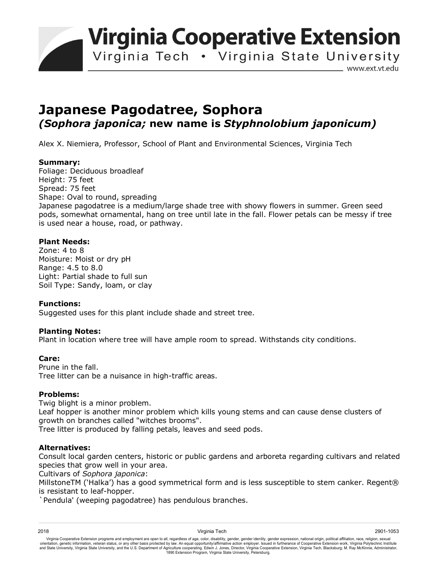**Virginia Cooperative Extension** 

Virginia Tech . Virginia State University

www.ext.vt.edu

# **Japanese Pagodatree, Sophora** *(Sophora japonica;* **new name is** *Styphnolobium japonicum)*

Alex X. Niemiera, Professor, School of Plant and Environmental Sciences, Virginia Tech

# **Summary:**

Foliage: Deciduous broadleaf Height: 75 feet Spread: 75 feet Shape: Oval to round, spreading Japanese pagodatree is a medium/large shade tree with showy flowers in summer. Green seed pods, somewhat ornamental, hang on tree until late in the fall. Flower petals can be messy if tree is used near a house, road, or pathway.

# **Plant Needs:**

Zone: 4 to 8 Moisture: Moist or dry pH Range: 4.5 to 8.0 Light: Partial shade to full sun Soil Type: Sandy, loam, or clay

### **Functions:**

Suggested uses for this plant include shade and street tree.

### **Planting Notes:**

Plant in location where tree will have ample room to spread. Withstands city conditions.

### **Care:**

Prune in the fall. Tree litter can be a nuisance in high-traffic areas.

### **Problems:**

Twig blight is a minor problem.

Leaf hopper is another minor problem which kills young stems and can cause dense clusters of growth on branches called "witches brooms".

Tree litter is produced by falling petals, leaves and seed pods.

### **Alternatives:**

Consult local garden centers, historic or public gardens and arboreta regarding cultivars and related species that grow well in your area.

Cultivars of *Sophora japonica*:

MillstoneTM ('Halka') has a good symmetrical form and is less susceptible to stem canker. Regent® is resistant to leaf-hopper.

`Pendula' (weeping pagodatree) has pendulous branches.